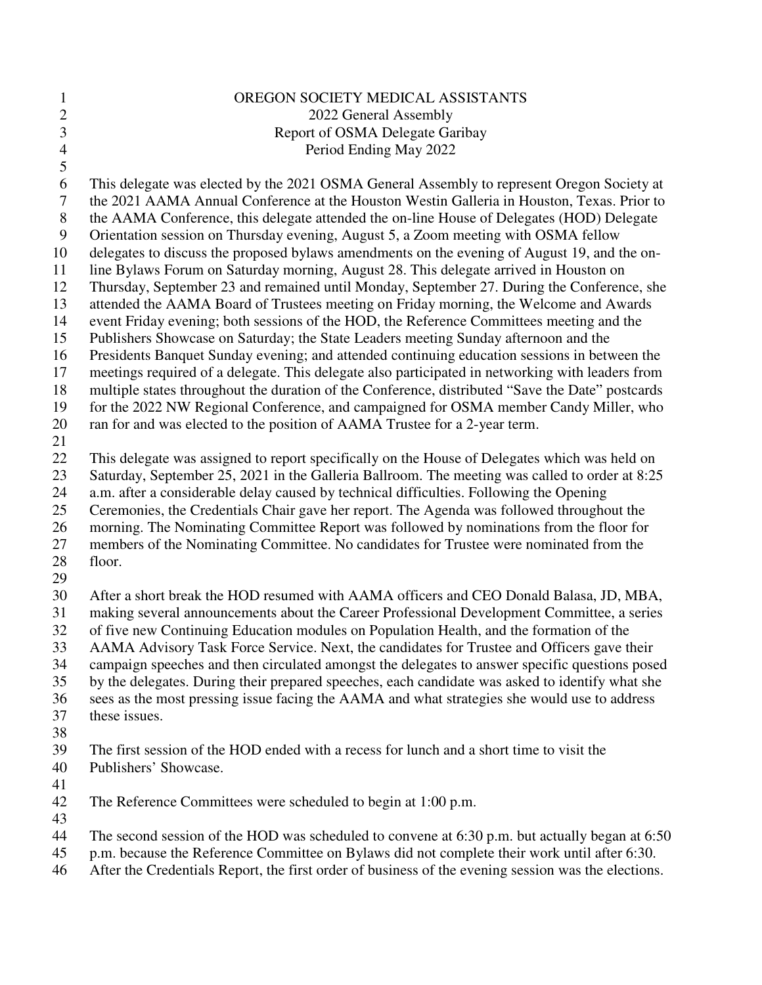| $\mathbf{1}$   | OREGON SOCIETY MEDICAL ASSISTANTS                                                                |
|----------------|--------------------------------------------------------------------------------------------------|
| $\sqrt{2}$     | 2022 General Assembly                                                                            |
| 3              | Report of OSMA Delegate Garibay                                                                  |
| $\overline{4}$ | Period Ending May 2022                                                                           |
| 5              |                                                                                                  |
| 6              | This delegate was elected by the 2021 OSMA General Assembly to represent Oregon Society at       |
| $\tau$         | the 2021 AAMA Annual Conference at the Houston Westin Galleria in Houston, Texas. Prior to       |
| $8\,$          | the AAMA Conference, this delegate attended the on-line House of Delegates (HOD) Delegate        |
| 9              | Orientation session on Thursday evening, August 5, a Zoom meeting with OSMA fellow               |
| 10             | delegates to discuss the proposed bylaws amendments on the evening of August 19, and the on-     |
| 11             | line Bylaws Forum on Saturday morning, August 28. This delegate arrived in Houston on            |
| 12             | Thursday, September 23 and remained until Monday, September 27. During the Conference, she       |
| 13             | attended the AAMA Board of Trustees meeting on Friday morning, the Welcome and Awards            |
| 14             | event Friday evening; both sessions of the HOD, the Reference Committees meeting and the         |
| 15             | Publishers Showcase on Saturday; the State Leaders meeting Sunday afternoon and the              |
| 16             | Presidents Banquet Sunday evening; and attended continuing education sessions in between the     |
| 17             | meetings required of a delegate. This delegate also participated in networking with leaders from |
| 18             | multiple states throughout the duration of the Conference, distributed "Save the Date" postcards |
| 19             | for the 2022 NW Regional Conference, and campaigned for OSMA member Candy Miller, who            |
| 20             | ran for and was elected to the position of AAMA Trustee for a 2-year term.                       |
| 21             |                                                                                                  |
| 22             | This delegate was assigned to report specifically on the House of Delegates which was held on    |
| 23             | Saturday, September 25, 2021 in the Galleria Ballroom. The meeting was called to order at 8:25   |
| 24             | a.m. after a considerable delay caused by technical difficulties. Following the Opening          |
| 25             | Ceremonies, the Credentials Chair gave her report. The Agenda was followed throughout the        |
| 26             | morning. The Nominating Committee Report was followed by nominations from the floor for          |
| 27             | members of the Nominating Committee. No candidates for Trustee were nominated from the           |
| 28             | floor.                                                                                           |
| 29             |                                                                                                  |
| 30             | After a short break the HOD resumed with AAMA officers and CEO Donald Balasa, JD, MBA,           |
| 31             | making several announcements about the Career Professional Development Committee, a series       |
| 32             | of five new Continuing Education modules on Population Health, and the formation of the          |
| 33             | AAMA Advisory Task Force Service. Next, the candidates for Trustee and Officers gave their       |
| 34             | campaign speeches and then circulated amongst the delegates to answer specific questions posed   |
| 35             | by the delegates. During their prepared speeches, each candidate was asked to identify what she  |
| 36             | sees as the most pressing issue facing the AAMA and what strategies she would use to address     |
| 37             | these issues.                                                                                    |
| 38             |                                                                                                  |
| 39             | The first session of the HOD ended with a recess for lunch and a short time to visit the         |
| 40             | Publishers' Showcase.                                                                            |
| 41             |                                                                                                  |
| 42             | The Reference Committees were scheduled to begin at 1:00 p.m.                                    |
| 43<br>44       | The second session of the HOD was scheduled to convene at 6:30 p.m. but actually began at 6:50   |
| 45             | p.m. because the Reference Committee on Bylaws did not complete their work until after 6:30.     |

46 After the Credentials Report, the first order of business of the evening session was the elections.